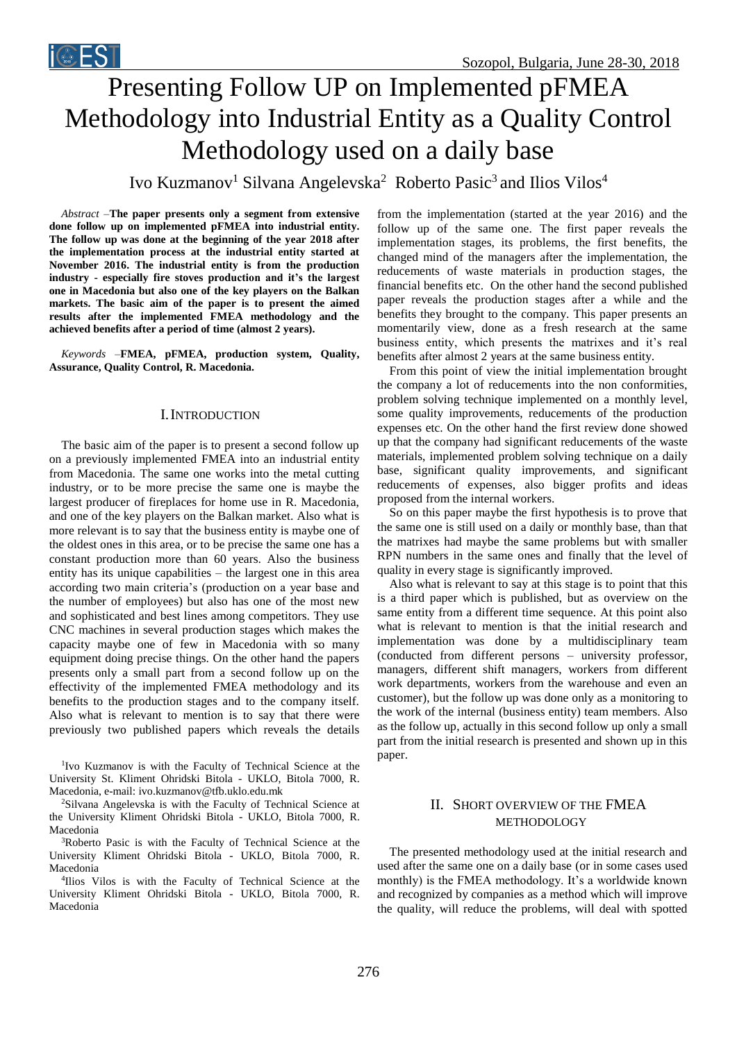# Presenting Follow UP on Implemented pFMEA Methodology into Industrial Entity as a Quality Control Methodology used on a daily base

Ivo Kuzmanov<sup>1</sup> Silvana Angelevska<sup>2</sup> Roberto Pasic<sup>3</sup> and Ilios Vilos<sup>4</sup>

*Abstract –***The paper presents only a segment from extensive done follow up on implemented pFMEA into industrial entity. The follow up was done at the beginning of the year 2018 after the implementation process at the industrial entity started at November 2016. The industrial entity is from the production industry - especially fire stoves production and it's the largest one in Macedonia but also one of the key players on the Balkan markets. The basic aim of the paper is to present the aimed results after the implemented FMEA methodology and the achieved benefits after a period of time (almost 2 years).** 

*Keywords –***FMEA, pFMEA, production system, Quality, Assurance, Quality Control, R. Macedonia.**

## I.INTRODUCTION

The basic aim of the paper is to present a second follow up on a previously implemented FMEA into an industrial entity from Macedonia. The same one works into the metal cutting industry, or to be more precise the same one is maybe the largest producer of fireplaces for home use in R. Macedonia, and one of the key players on the Balkan market. Also what is more relevant is to say that the business entity is maybe one of the oldest ones in this area, or to be precise the same one has a constant production more than 60 years. Also the business entity has its unique capabilities – the largest one in this area according two main criteria's (production on a year base and the number of employees) but also has one of the most new and sophisticated and best lines among competitors. They use CNC machines in several production stages which makes the capacity maybe one of few in Macedonia with so many equipment doing precise things. On the other hand the papers presents only a small part from a second follow up on the effectivity of the implemented FMEA methodology and its benefits to the production stages and to the company itself. Also what is relevant to mention is to say that there were previously two published papers which reveals the details

1 Ivo Kuzmanov is with the Faculty of Technical Science at the University St. Kliment Ohridski Bitola - UKLO, Bitola 7000, R. Macedonia, e-mail: ivo.kuzmanov@tfb.uklo.edu.mk

<sup>2</sup>Silvana Angelevska is with the Faculty of Technical Science at the University Kliment Ohridski Bitola - UKLO, Bitola 7000, R. Macedonia

<sup>3</sup>Roberto Pasic is with the Faculty of Technical Science at the University Kliment Ohridski Bitola - UKLO, Bitola 7000, R. Macedonia

4 Ilios Vilos is with the Faculty of Technical Science at the University Kliment Ohridski Bitola - UKLO, Bitola 7000, R. Macedonia

from the implementation (started at the year 2016) and the follow up of the same one. The first paper reveals the implementation stages, its problems, the first benefits, the changed mind of the managers after the implementation, the reducements of waste materials in production stages, the financial benefits etc. On the other hand the second published paper reveals the production stages after a while and the benefits they brought to the company. This paper presents an momentarily view, done as a fresh research at the same business entity, which presents the matrixes and it's real benefits after almost 2 years at the same business entity.

From this point of view the initial implementation brought the company a lot of reducements into the non conformities, problem solving technique implemented on a monthly level, some quality improvements, reducements of the production expenses etc. On the other hand the first review done showed up that the company had significant reducements of the waste materials, implemented problem solving technique on a daily base, significant quality improvements, and significant reducements of expenses, also bigger profits and ideas proposed from the internal workers.

So on this paper maybe the first hypothesis is to prove that the same one is still used on a daily or monthly base, than that the matrixes had maybe the same problems but with smaller RPN numbers in the same ones and finally that the level of quality in every stage is significantly improved.

Also what is relevant to say at this stage is to point that this is a third paper which is published, but as overview on the same entity from a different time sequence. At this point also what is relevant to mention is that the initial research and implementation was done by a multidisciplinary team (conducted from different persons – university professor, managers, different shift managers, workers from different work departments, workers from the warehouse and even an customer), but the follow up was done only as a monitoring to the work of the internal (business entity) team members. Also as the follow up, actually in this second follow up only a small part from the initial research is presented and shown up in this paper.

# II. SHORT OVERVIEW OF THE FMEA METHODOLOGY

The presented methodology used at the initial research and used after the same one on a daily base (or in some cases used monthly) is the FMEA methodology. It's a worldwide known and recognized by companies as a method which will improve the quality, will reduce the problems, will deal with spotted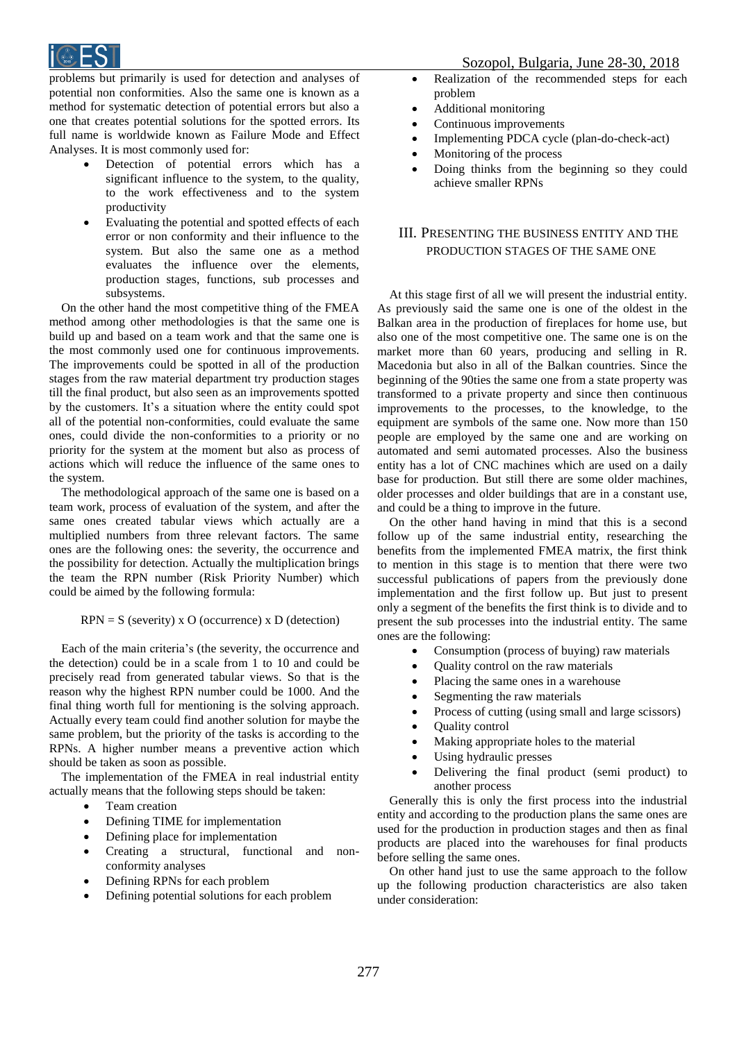

problems but primarily is used for detection and analyses of potential non conformities. Also the same one is known as a method for systematic detection of potential errors but also a one that creates potential solutions for the spotted errors. Its full name is worldwide known as Failure Mode and Effect Analyses. It is most commonly used for:

- Detection of potential errors which has a significant influence to the system, to the quality, to the work effectiveness and to the system productivity
- Evaluating the potential and spotted effects of each error or non conformity and their influence to the system. But also the same one as a method evaluates the influence over the elements, production stages, functions, sub processes and subsystems.

On the other hand the most competitive thing of the FMEA method among other methodologies is that the same one is build up and based on a team work and that the same one is the most commonly used one for continuous improvements. The improvements could be spotted in all of the production stages from the raw material department try production stages till the final product, but also seen as an improvements spotted by the customers. It's a situation where the entity could spot all of the potential non-conformities, could evaluate the same ones, could divide the non-conformities to a priority or no priority for the system at the moment but also as process of actions which will reduce the influence of the same ones to the system.

The methodological approach of the same one is based on a team work, process of evaluation of the system, and after the same ones created tabular views which actually are a multiplied numbers from three relevant factors. The same ones are the following ones: the severity, the occurrence and the possibility for detection. Actually the multiplication brings the team the RPN number (Risk Priority Number) which could be aimed by the following formula:

# $RPN = S$  (severity) x O (occurrence) x D (detection)

Each of the main criteria's (the severity, the occurrence and the detection) could be in a scale from 1 to 10 and could be precisely read from generated tabular views. So that is the reason why the highest RPN number could be 1000. And the final thing worth full for mentioning is the solving approach. Actually every team could find another solution for maybe the same problem, but the priority of the tasks is according to the RPNs. A higher number means a preventive action which should be taken as soon as possible.

The implementation of the FMEA in real industrial entity actually means that the following steps should be taken:

- Team creation
- Defining TIME for implementation
- Defining place for implementation
- Creating a structural, functional and nonconformity analyses
- Defining RPNs for each problem
- Defining potential solutions for each problem

## Sozopol, Bulgaria, June 28-30, 2018

- Realization of the recommended steps for each problem
- Additional monitoring
- Continuous improvements
- Implementing PDCA cycle (plan-do-check-act)
- Monitoring of the process
- Doing thinks from the beginning so they could achieve smaller RPNs

# III. PRESENTING THE BUSINESS ENTITY AND THE PRODUCTION STAGES OF THE SAME ONE

At this stage first of all we will present the industrial entity. As previously said the same one is one of the oldest in the Balkan area in the production of fireplaces for home use, but also one of the most competitive one. The same one is on the market more than 60 years, producing and selling in R. Macedonia but also in all of the Balkan countries. Since the beginning of the 90ties the same one from a state property was transformed to a private property and since then continuous improvements to the processes, to the knowledge, to the equipment are symbols of the same one. Now more than 150 people are employed by the same one and are working on automated and semi automated processes. Also the business entity has a lot of CNC machines which are used on a daily base for production. But still there are some older machines, older processes and older buildings that are in a constant use, and could be a thing to improve in the future.

On the other hand having in mind that this is a second follow up of the same industrial entity, researching the benefits from the implemented FMEA matrix, the first think to mention in this stage is to mention that there were two successful publications of papers from the previously done implementation and the first follow up. But just to present only a segment of the benefits the first think is to divide and to present the sub processes into the industrial entity. The same ones are the following:

- Consumption (process of buying) raw materials
- Quality control on the raw materials
- Placing the same ones in a warehouse
- Segmenting the raw materials
- Process of cutting (using small and large scissors)
- Quality control
- Making appropriate holes to the material
- Using hydraulic presses
- Delivering the final product (semi product) to another process

Generally this is only the first process into the industrial entity and according to the production plans the same ones are used for the production in production stages and then as final products are placed into the warehouses for final products before selling the same ones.

On other hand just to use the same approach to the follow up the following production characteristics are also taken under consideration: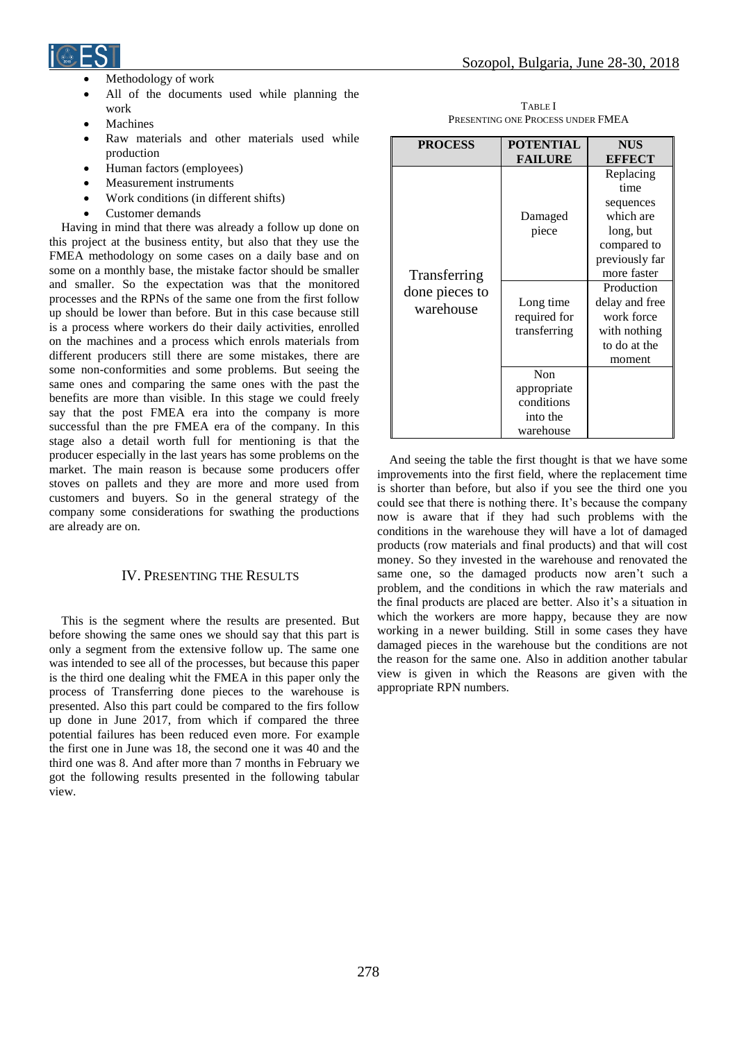

- Methodology of work
- All of the documents used while planning the work
- Machines
- Raw materials and other materials used while production
- Human factors (employees)
- Measurement instruments
- Work conditions (in different shifts)
- Customer demands

Having in mind that there was already a follow up done on this project at the business entity, but also that they use the FMEA methodology on some cases on a daily base and on some on a monthly base, the mistake factor should be smaller and smaller. So the expectation was that the monitored processes and the RPNs of the same one from the first follow up should be lower than before. But in this case because still is a process where workers do their daily activities, enrolled on the machines and a process which enrols materials from different producers still there are some mistakes, there are some non-conformities and some problems. But seeing the same ones and comparing the same ones with the past the benefits are more than visible. In this stage we could freely say that the post FMEA era into the company is more successful than the pre FMEA era of the company. In this stage also a detail worth full for mentioning is that the producer especially in the last years has some problems on the market. The main reason is because some producers offer stoves on pallets and they are more and more used from customers and buyers. So in the general strategy of the company some considerations for swathing the productions are already are on.

# IV. PRESENTING THE RESULTS

This is the segment where the results are presented. But before showing the same ones we should say that this part is only a segment from the extensive follow up. The same one was intended to see all of the processes, but because this paper is the third one dealing whit the FMEA in this paper only the process of Transferring done pieces to the warehouse is presented. Also this part could be compared to the firs follow up done in June 2017, from which if compared the three potential failures has been reduced even more. For example the first one in June was 18, the second one it was 40 and the third one was 8. And after more than 7 months in February we got the following results presented in the following tabular view.

Sozopol, Bulgaria, June 28-30, 2018

TABLE I PRESENTING ONE PROCESS UNDER FMEA

| <b>PROCESS</b>                              | <b>POTENTIAL</b> | <b>NUS</b>     |
|---------------------------------------------|------------------|----------------|
|                                             | <b>FAILURE</b>   | <b>EFFECT</b>  |
| Transferring<br>done pieces to<br>warehouse |                  | Replacing      |
|                                             |                  | time           |
|                                             |                  | sequences      |
|                                             | Damaged          | which are      |
|                                             | piece            | long, but      |
|                                             |                  | compared to    |
|                                             |                  | previously far |
|                                             |                  | more faster    |
|                                             |                  | Production     |
|                                             | Long time        | delay and free |
|                                             | required for     | work force     |
|                                             | transferring     | with nothing   |
|                                             |                  | to do at the   |
|                                             |                  | moment         |
|                                             | Non              |                |
|                                             | appropriate      |                |
|                                             | conditions       |                |
|                                             | into the         |                |
|                                             | warehouse        |                |

And seeing the table the first thought is that we have some improvements into the first field, where the replacement time is shorter than before, but also if you see the third one you could see that there is nothing there. It's because the company now is aware that if they had such problems with the conditions in the warehouse they will have a lot of damaged products (row materials and final products) and that will cost money. So they invested in the warehouse and renovated the same one, so the damaged products now aren't such a problem, and the conditions in which the raw materials and the final products are placed are better. Also it's a situation in which the workers are more happy, because they are now working in a newer building. Still in some cases they have damaged pieces in the warehouse but the conditions are not the reason for the same one. Also in addition another tabular view is given in which the Reasons are given with the appropriate RPN numbers.